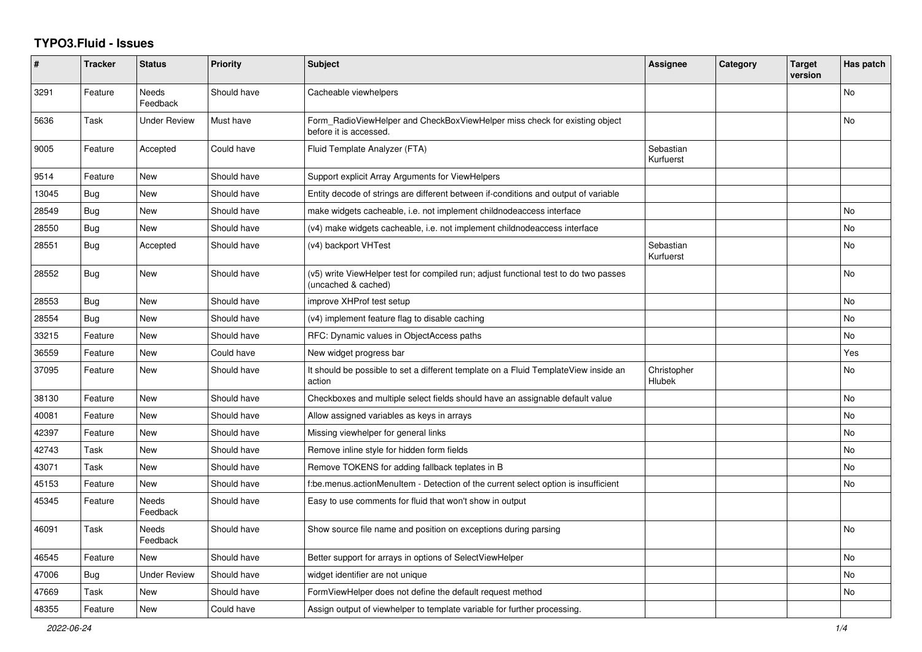## **TYPO3.Fluid - Issues**

| #     | <b>Tracker</b> | <b>Status</b>            | <b>Priority</b> | <b>Subject</b>                                                                                              | Assignee               | Category | <b>Target</b><br>version | Has patch |
|-------|----------------|--------------------------|-----------------|-------------------------------------------------------------------------------------------------------------|------------------------|----------|--------------------------|-----------|
| 3291  | Feature        | <b>Needs</b><br>Feedback | Should have     | Cacheable viewhelpers                                                                                       |                        |          |                          | No        |
| 5636  | Task           | Under Review             | Must have       | Form RadioViewHelper and CheckBoxViewHelper miss check for existing object<br>before it is accessed.        |                        |          |                          | <b>No</b> |
| 9005  | Feature        | Accepted                 | Could have      | Fluid Template Analyzer (FTA)                                                                               | Sebastian<br>Kurfuerst |          |                          |           |
| 9514  | Feature        | New                      | Should have     | Support explicit Array Arguments for ViewHelpers                                                            |                        |          |                          |           |
| 13045 | Bug            | New                      | Should have     | Entity decode of strings are different between if-conditions and output of variable                         |                        |          |                          |           |
| 28549 | <b>Bug</b>     | New                      | Should have     | make widgets cacheable, i.e. not implement childnodeaccess interface                                        |                        |          |                          | No        |
| 28550 | <b>Bug</b>     | New                      | Should have     | (v4) make widgets cacheable, i.e. not implement childnodeaccess interface                                   |                        |          |                          | No        |
| 28551 | <b>Bug</b>     | Accepted                 | Should have     | (v4) backport VHTest                                                                                        | Sebastian<br>Kurfuerst |          |                          | No        |
| 28552 | Bug            | New                      | Should have     | (v5) write ViewHelper test for compiled run; adjust functional test to do two passes<br>(uncached & cached) |                        |          |                          | No        |
| 28553 | <b>Bug</b>     | New                      | Should have     | improve XHProf test setup                                                                                   |                        |          |                          | No        |
| 28554 | Bug            | New                      | Should have     | (v4) implement feature flag to disable caching                                                              |                        |          |                          | No        |
| 33215 | Feature        | New                      | Should have     | RFC: Dynamic values in ObjectAccess paths                                                                   |                        |          |                          | No        |
| 36559 | Feature        | New                      | Could have      | New widget progress bar                                                                                     |                        |          |                          | Yes       |
| 37095 | Feature        | New                      | Should have     | It should be possible to set a different template on a Fluid TemplateView inside an<br>action               | Christopher<br>Hlubek  |          |                          | No        |
| 38130 | Feature        | New                      | Should have     | Checkboxes and multiple select fields should have an assignable default value                               |                        |          |                          | <b>No</b> |
| 40081 | Feature        | New                      | Should have     | Allow assigned variables as keys in arrays                                                                  |                        |          |                          | No        |
| 42397 | Feature        | <b>New</b>               | Should have     | Missing viewhelper for general links                                                                        |                        |          |                          | No.       |
| 42743 | Task           | <b>New</b>               | Should have     | Remove inline style for hidden form fields                                                                  |                        |          |                          | <b>No</b> |
| 43071 | Task           | New                      | Should have     | Remove TOKENS for adding fallback teplates in B                                                             |                        |          |                          | <b>No</b> |
| 45153 | Feature        | New                      | Should have     | f:be.menus.actionMenuItem - Detection of the current select option is insufficient                          |                        |          |                          | No        |
| 45345 | Feature        | Needs<br>Feedback        | Should have     | Easy to use comments for fluid that won't show in output                                                    |                        |          |                          |           |
| 46091 | Task           | <b>Needs</b><br>Feedback | Should have     | Show source file name and position on exceptions during parsing                                             |                        |          |                          | <b>No</b> |
| 46545 | Feature        | New                      | Should have     | Better support for arrays in options of SelectViewHelper                                                    |                        |          |                          | <b>No</b> |
| 47006 | <b>Bug</b>     | <b>Under Review</b>      | Should have     | widget identifier are not unique                                                                            |                        |          |                          | <b>No</b> |
| 47669 | Task           | <b>New</b>               | Should have     | FormViewHelper does not define the default request method                                                   |                        |          |                          | No        |
| 48355 | Feature        | <b>New</b>               | Could have      | Assign output of viewhelper to template variable for further processing.                                    |                        |          |                          |           |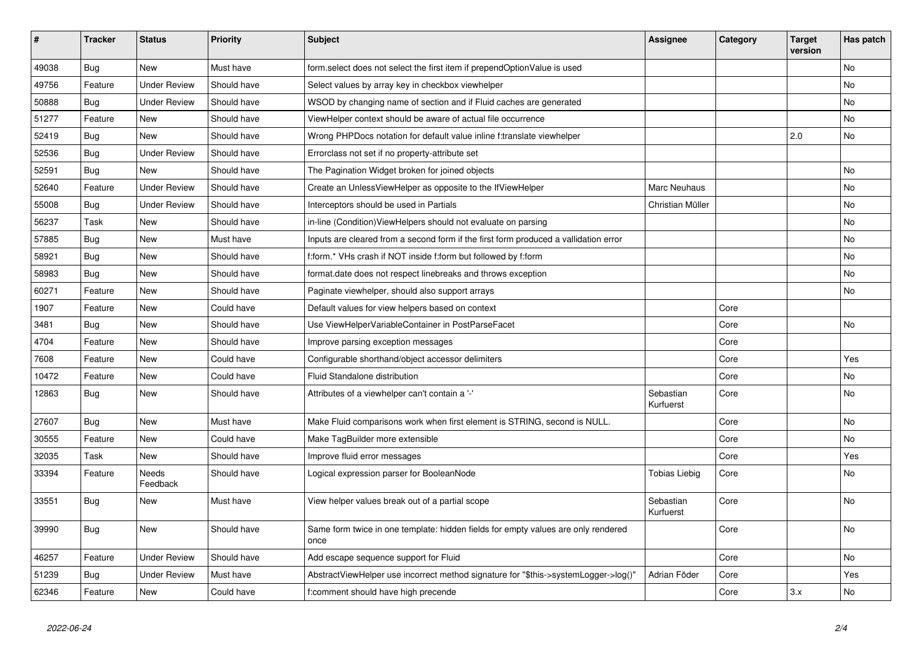| $\vert$ # | <b>Tracker</b> | <b>Status</b>            | <b>Priority</b> | <b>Subject</b>                                                                            | Assignee               | Category | <b>Target</b><br>version | Has patch |
|-----------|----------------|--------------------------|-----------------|-------------------------------------------------------------------------------------------|------------------------|----------|--------------------------|-----------|
| 49038     | <b>Bug</b>     | New                      | Must have       | form.select does not select the first item if prependOptionValue is used                  |                        |          |                          | <b>No</b> |
| 49756     | Feature        | Under Review             | Should have     | Select values by array key in checkbox viewhelper                                         |                        |          |                          | <b>No</b> |
| 50888     | Bug            | <b>Under Review</b>      | Should have     | WSOD by changing name of section and if Fluid caches are generated                        |                        |          |                          | No        |
| 51277     | Feature        | New                      | Should have     | ViewHelper context should be aware of actual file occurrence                              |                        |          |                          | No        |
| 52419     | <b>Bug</b>     | <b>New</b>               | Should have     | Wrong PHPDocs notation for default value inline f:translate viewhelper                    |                        |          | 2.0                      | <b>No</b> |
| 52536     | Bug            | <b>Under Review</b>      | Should have     | Errorclass not set if no property-attribute set                                           |                        |          |                          |           |
| 52591     | <b>Bug</b>     | New                      | Should have     | The Pagination Widget broken for joined objects                                           |                        |          |                          | No        |
| 52640     | Feature        | <b>Under Review</b>      | Should have     | Create an UnlessViewHelper as opposite to the IfViewHelper                                | Marc Neuhaus           |          |                          | <b>No</b> |
| 55008     | Bug            | <b>Under Review</b>      | Should have     | Interceptors should be used in Partials                                                   | Christian Müller       |          |                          | No        |
| 56237     | Task           | New                      | Should have     | in-line (Condition) View Helpers should not evaluate on parsing                           |                        |          |                          | No        |
| 57885     | Bug            | New                      | Must have       | Inputs are cleared from a second form if the first form produced a vallidation error      |                        |          |                          | No        |
| 58921     | Bug            | New                      | Should have     | f:form.* VHs crash if NOT inside f:form but followed by f:form                            |                        |          |                          | <b>No</b> |
| 58983     | Bug            | New                      | Should have     | format.date does not respect linebreaks and throws exception                              |                        |          |                          | No        |
| 60271     | Feature        | New                      | Should have     | Paginate viewhelper, should also support arrays                                           |                        |          |                          | No        |
| 1907      | Feature        | New                      | Could have      | Default values for view helpers based on context                                          |                        | Core     |                          |           |
| 3481      | Bug            | New                      | Should have     | Use ViewHelperVariableContainer in PostParseFacet                                         |                        | Core     |                          | No        |
| 4704      | Feature        | New                      | Should have     | Improve parsing exception messages                                                        |                        | Core     |                          |           |
| 7608      | Feature        | New                      | Could have      | Configurable shorthand/object accessor delimiters                                         |                        | Core     |                          | Yes       |
| 10472     | Feature        | New                      | Could have      | Fluid Standalone distribution                                                             |                        | Core     |                          | No        |
| 12863     | Bug            | New                      | Should have     | Attributes of a viewhelper can't contain a '-'                                            | Sebastian<br>Kurfuerst | Core     |                          | No        |
| 27607     | Bug            | New                      | Must have       | Make Fluid comparisons work when first element is STRING, second is NULL.                 |                        | Core     |                          | <b>No</b> |
| 30555     | Feature        | New                      | Could have      | Make TagBuilder more extensible                                                           |                        | Core     |                          | No        |
| 32035     | Task           | New                      | Should have     | Improve fluid error messages                                                              |                        | Core     |                          | Yes       |
| 33394     | Feature        | <b>Needs</b><br>Feedback | Should have     | Logical expression parser for BooleanNode                                                 | Tobias Liebig          | Core     |                          | <b>No</b> |
| 33551     | <b>Bug</b>     | New                      | Must have       | View helper values break out of a partial scope                                           | Sebastian<br>Kurfuerst | Core     |                          | No        |
| 39990     | Bug            | <b>New</b>               | Should have     | Same form twice in one template: hidden fields for empty values are only rendered<br>once |                        | Core     |                          | <b>No</b> |
| 46257     | Feature        | <b>Under Review</b>      | Should have     | Add escape sequence support for Fluid                                                     |                        | Core     |                          | No        |
| 51239     | <b>Bug</b>     | <b>Under Review</b>      | Must have       | AbstractViewHelper use incorrect method signature for "\$this->systemLogger->log()"       | Adrian Föder           | Core     |                          | Yes       |
| 62346     | Feature        | <b>New</b>               | Could have      | f:comment should have high precende                                                       |                        | Core     | 3.x                      | <b>No</b> |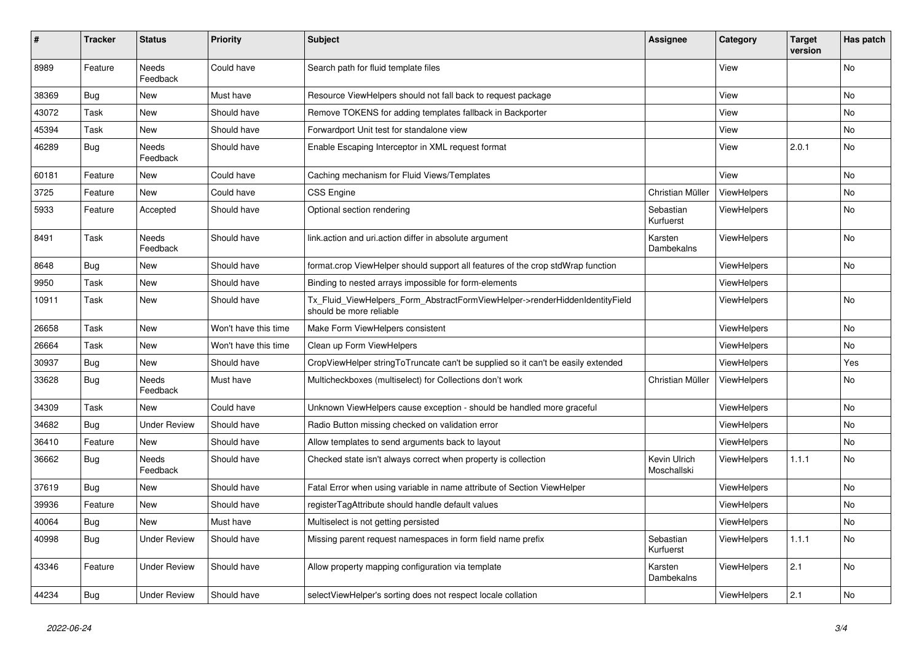| #     | <b>Tracker</b> | <b>Status</b>            | <b>Priority</b>      | <b>Subject</b>                                                                                         | Assignee                    | Category           | <b>Target</b><br>version | Has patch |
|-------|----------------|--------------------------|----------------------|--------------------------------------------------------------------------------------------------------|-----------------------------|--------------------|--------------------------|-----------|
| 8989  | Feature        | <b>Needs</b><br>Feedback | Could have           | Search path for fluid template files                                                                   |                             | View               |                          | <b>No</b> |
| 38369 | <b>Bug</b>     | New                      | Must have            | Resource ViewHelpers should not fall back to request package                                           |                             | View               |                          | No        |
| 43072 | Task           | New                      | Should have          | Remove TOKENS for adding templates fallback in Backporter                                              |                             | View               |                          | No        |
| 45394 | Task           | New                      | Should have          | Forwardport Unit test for standalone view                                                              |                             | View               |                          | <b>No</b> |
| 46289 | Bug            | Needs<br>Feedback        | Should have          | Enable Escaping Interceptor in XML request format                                                      |                             | View               | 2.0.1                    | No        |
| 60181 | Feature        | <b>New</b>               | Could have           | Caching mechanism for Fluid Views/Templates                                                            |                             | View               |                          | <b>No</b> |
| 3725  | Feature        | New                      | Could have           | <b>CSS Engine</b>                                                                                      | Christian Müller            | ViewHelpers        |                          | <b>No</b> |
| 5933  | Feature        | Accepted                 | Should have          | Optional section rendering                                                                             | Sebastian<br>Kurfuerst      | ViewHelpers        |                          | No        |
| 8491  | Task           | Needs<br>Feedback        | Should have          | link.action and uri.action differ in absolute argument                                                 | Karsten<br>Dambekalns       | ViewHelpers        |                          | <b>No</b> |
| 8648  | Bug            | New                      | Should have          | format.crop ViewHelper should support all features of the crop stdWrap function                        |                             | <b>ViewHelpers</b> |                          | <b>No</b> |
| 9950  | Task           | New                      | Should have          | Binding to nested arrays impossible for form-elements                                                  |                             | <b>ViewHelpers</b> |                          |           |
| 10911 | Task           | New                      | Should have          | Tx Fluid ViewHelpers Form AbstractFormViewHelper->renderHiddenIdentityField<br>should be more reliable |                             | <b>ViewHelpers</b> |                          | <b>No</b> |
| 26658 | Task           | <b>New</b>               | Won't have this time | Make Form ViewHelpers consistent                                                                       |                             | ViewHelpers        |                          | <b>No</b> |
| 26664 | Task           | New                      | Won't have this time | Clean up Form ViewHelpers                                                                              |                             | <b>ViewHelpers</b> |                          | <b>No</b> |
| 30937 | <b>Bug</b>     | New                      | Should have          | CropViewHelper stringToTruncate can't be supplied so it can't be easily extended                       |                             | ViewHelpers        |                          | Yes       |
| 33628 | Bug            | <b>Needs</b><br>Feedback | Must have            | Multicheckboxes (multiselect) for Collections don't work                                               | Christian Müller            | ViewHelpers        |                          | No        |
| 34309 | Task           | <b>New</b>               | Could have           | Unknown ViewHelpers cause exception - should be handled more graceful                                  |                             | <b>ViewHelpers</b> |                          | No        |
| 34682 | Bug            | <b>Under Review</b>      | Should have          | Radio Button missing checked on validation error                                                       |                             | <b>ViewHelpers</b> |                          | <b>No</b> |
| 36410 | Feature        | <b>New</b>               | Should have          | Allow templates to send arguments back to layout                                                       |                             | <b>ViewHelpers</b> |                          | <b>No</b> |
| 36662 | Bug            | Needs<br>Feedback        | Should have          | Checked state isn't always correct when property is collection                                         | Kevin Ulrich<br>Moschallski | <b>ViewHelpers</b> | 1.1.1                    | <b>No</b> |
| 37619 | Bug            | New                      | Should have          | Fatal Error when using variable in name attribute of Section ViewHelper                                |                             | ViewHelpers        |                          | No        |
| 39936 | Feature        | New                      | Should have          | registerTagAttribute should handle default values                                                      |                             | ViewHelpers        |                          | No        |
| 40064 | <b>Bug</b>     | New                      | Must have            | Multiselect is not getting persisted                                                                   |                             | ViewHelpers        |                          | No        |
| 40998 | Bug            | <b>Under Review</b>      | Should have          | Missing parent request namespaces in form field name prefix                                            | Sebastian<br>Kurfuerst      | ViewHelpers        | 1.1.1                    | No        |
| 43346 | Feature        | Under Review             | Should have          | Allow property mapping configuration via template                                                      | Karsten<br>Dambekalns       | <b>ViewHelpers</b> | 2.1                      | <b>No</b> |
| 44234 | <b>Bug</b>     | <b>Under Review</b>      | Should have          | selectViewHelper's sorting does not respect locale collation                                           |                             | ViewHelpers        | 2.1                      | <b>No</b> |